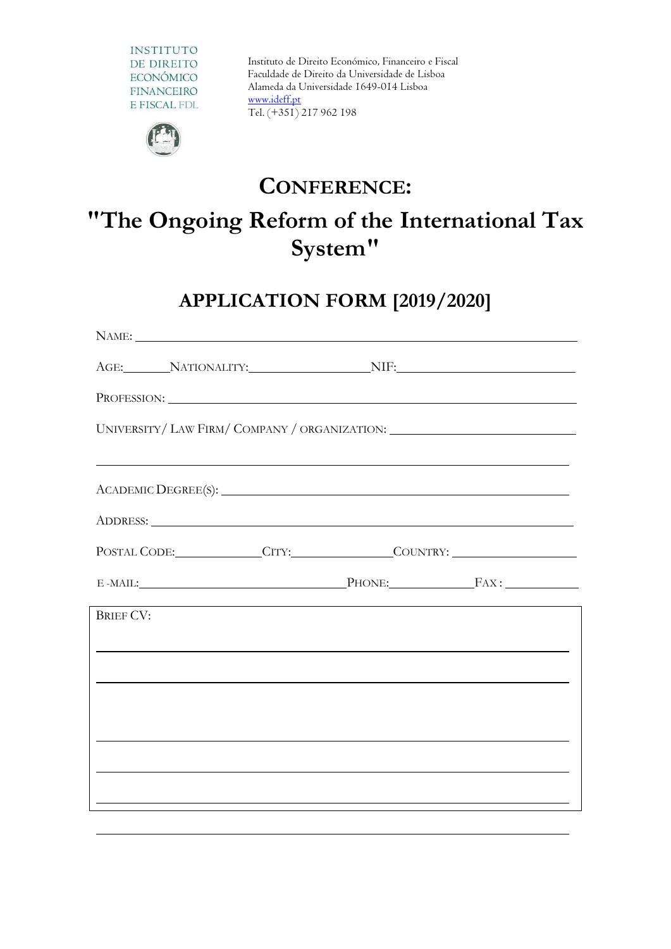

Instituto de Direito Económico, Financeiro e Fiscal Faculdade de Direito da Universidade de Lisboa Alameda da Universidade 1649-014 Lisboa [www.ideff.pt](http://www.ideff.pt/) Tel. (+351) 217 962 198



### **CONFERENCE:**

# **"The Ongoing Reform of the International Tax System"**

## **APPLICATION FORM [2019/2020]**

|                  |  | NAME: NAME:                                                                                                                                                                                                                    |
|------------------|--|--------------------------------------------------------------------------------------------------------------------------------------------------------------------------------------------------------------------------------|
|                  |  | AGE: NATIONALITY: NIF: NIF:                                                                                                                                                                                                    |
|                  |  |                                                                                                                                                                                                                                |
|                  |  | UNIVERSITY/ LAW FIRM/ COMPANY / ORGANIZATION: __________________________________                                                                                                                                               |
|                  |  | <u> 1989 - Andrea Santa Andrea Santa Andrea Santa Andrea Santa Andrea Santa Andrea Santa Andrea Santa Andrea San</u>                                                                                                           |
|                  |  |                                                                                                                                                                                                                                |
|                  |  | ADDRESS: Lawrence and the contract of the contract of the contract of the contract of the contract of the contract of the contract of the contract of the contract of the contract of the contract of the contract of the cont |
|                  |  | POSTAL CODE: CITY: COUNTRY:                                                                                                                                                                                                    |
|                  |  | E-MAIL: PHONE: FAX:                                                                                                                                                                                                            |
| <b>BRIEF CV:</b> |  |                                                                                                                                                                                                                                |
|                  |  | <u> 1999 - Johann Harry Harry Harry Harry Harry Harry Harry Harry Harry Harry Harry Harry Harry Harry Harry Harry H</u>                                                                                                        |
|                  |  |                                                                                                                                                                                                                                |
|                  |  |                                                                                                                                                                                                                                |
|                  |  |                                                                                                                                                                                                                                |
|                  |  |                                                                                                                                                                                                                                |
|                  |  |                                                                                                                                                                                                                                |